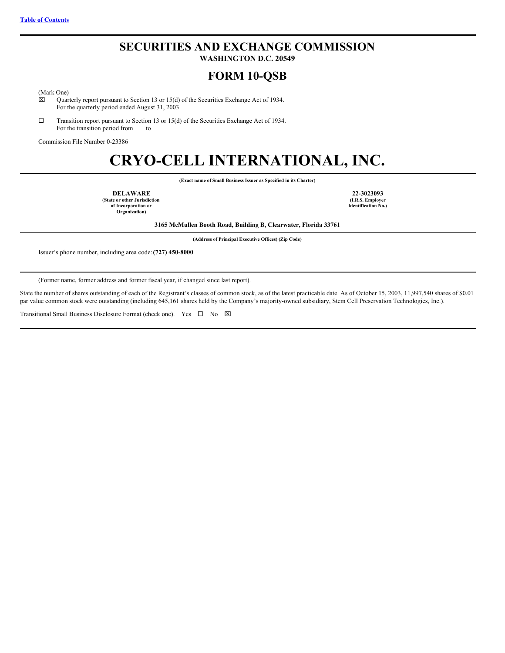## **SECURITIES AND EXCHANGE COMMISSION**

**WASHINGTON D.C. 20549**

## **FORM 10-QSB**

(Mark One)<br>  $\boxtimes$  Quar

Quarterly report pursuant to Section 13 or 15(d) of the Securities Exchange Act of 1934. For the quarterly period ended August 31, 2003

 $\square$  Transition report pursuant to Section 13 or 15(d) of the Securities Exchange Act of 1934. For the transition period from to

Commission File Number 0-23386

# **CRYO-CELL INTERNATIONAL, INC.**

**(Exact name of Small Business Issuer as Specified in its Charter)**

**DELAWARE 22-3023093 (State or other Jurisdiction of Incorporation or Organization)**

**(I.R.S. Employer Identification No.)**

**3165 McMullen Booth Road, Building B, Clearwater, Florida 33761**

**(Address of Principal Executive Offices) (Zip Code)**

Issuer's phone number, including area code:**(727) 450-8000**

(Former name, former address and former fiscal year, if changed since last report).

State the number of shares outstanding of each of the Registrant's classes of common stock, as of the latest practicable date. As of October 15, 2003, 11,997,540 shares of \$0.01 par value common stock were outstanding (including 645,161 shares held by the Company's majority-owned subsidiary, Stem Cell Preservation Technologies, Inc.).

Transitional Small Business Disclosure Format (check one). Yes  $\Box$  No  $\boxtimes$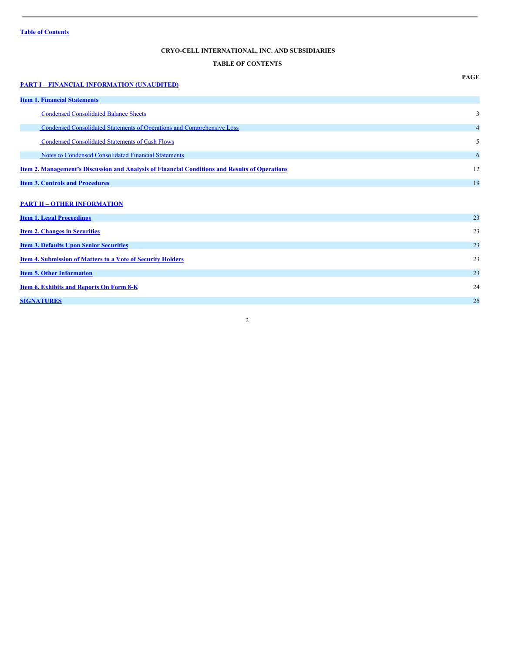## <span id="page-1-0"></span>**CRYO-CELL INTERNATIONAL, INC. AND SUBSIDIARIES**

## **TABLE OF CONTENTS**

## **PART I – FINANCIAL [INFORMATION](#page-2-0) (UNAUDITED) Item 1. Financial [Statements](#page-2-1)** Condensed [Consolidated](#page-2-2) Balance Sheets 3 Condensed Consolidated Statements of Operations and [Comprehensive](#page-3-0) Loss 4 Condensed [Consolidated](#page-4-0) Statements of Cash Flows 5 Notes to Condensed [Consolidated](#page-5-0) Financial Statements 6 **Item 2. [Management's](#page-11-0) Discussion and Analysis of Financial Conditions and Results of Operations** 12 **Item 3. Controls and [Procedures](#page-18-0)** 19 **PART II – OTHER [INFORMATION](#page-22-0) Item 1. Legal [Proceedings](#page-22-1)** 23 **Item 2. Changes in [Securities](#page-22-2)** 23 **Item 3. Defaults Upon Senior [Securities](#page-22-3)** 23 **Item 4. [Submission](#page-22-4) of Matters to a Vote of Security Holders** 23 **Item 5. Other [Information](#page-22-5)** 23 **Item 6. [Exhibits](#page-23-0) and Reports On Form 8-K** 24 **[SIGNATURES](#page-24-0)** 25

#### 2

**PAGE**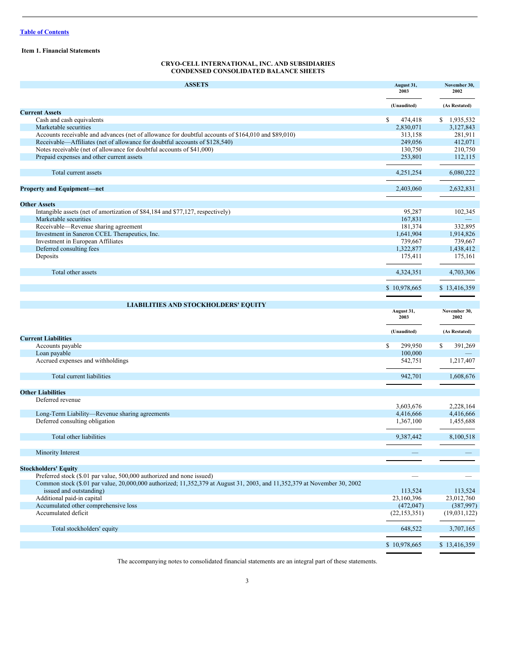#### <span id="page-2-1"></span>**Item 1. Financial Statements**

### <span id="page-2-2"></span><span id="page-2-0"></span>**CRYO-CELL INTERNATIONAL, INC. AND SUBSIDIARIES CONDENSED CONSOLIDATED BALANCE SHEETS**

| <b>ASSETS</b>                                                                                                                                       |                    | November 30,<br>2002  |  |
|-----------------------------------------------------------------------------------------------------------------------------------------------------|--------------------|-----------------------|--|
|                                                                                                                                                     | (Unaudited)        | (As Restated)         |  |
| <b>Current Assets</b>                                                                                                                               |                    |                       |  |
| Cash and cash equivalents                                                                                                                           | \$<br>474,418      | \$1,935,532           |  |
| Marketable securities                                                                                                                               | 2,830,071          | 3,127,843             |  |
| Accounts receivable and advances (net of allowance for doubtful accounts of \$164,010 and \$89,010)                                                 | 313,158            | 281,911               |  |
| Receivable—Affiliates (net of allowance for doubtful accounts of \$128,540)                                                                         | 249,056            | 412,071               |  |
| Notes receivable (net of allowance for doubtful accounts of \$41,000)                                                                               | 130,750            | 210,750               |  |
| Prepaid expenses and other current assets                                                                                                           | 253,801            | 112,115               |  |
|                                                                                                                                                     |                    |                       |  |
| Total current assets                                                                                                                                | 4,251,254          | 6,080,222             |  |
| <b>Property and Equipment-net</b>                                                                                                                   | 2,403,060          | 2,632,831             |  |
| <b>Other Assets</b>                                                                                                                                 |                    |                       |  |
|                                                                                                                                                     |                    |                       |  |
| Intangible assets (net of amortization of \$84,184 and \$77,127, respectively)                                                                      | 95,287             | 102,345               |  |
| Marketable securities                                                                                                                               | 167,831            |                       |  |
| Receivable-Revenue sharing agreement                                                                                                                | 181,374            | 332,895               |  |
| Investment in Saneron CCEL Therapeutics, Inc.                                                                                                       | 1,641,904          | 1,914,826             |  |
| Investment in European Affiliates                                                                                                                   | 739,667            | 739,667               |  |
| Deferred consulting fees                                                                                                                            | 1,322,877          | 1,438,412             |  |
| Deposits                                                                                                                                            | 175,411            | 175,161               |  |
| Total other assets                                                                                                                                  | 4,324,351          | 4,703,306             |  |
|                                                                                                                                                     | \$10,978,665       | \$13,416,359          |  |
|                                                                                                                                                     |                    |                       |  |
| <b>LIABILITIES AND STOCKHOLDERS' EQUITY</b>                                                                                                         |                    |                       |  |
|                                                                                                                                                     | August 31,<br>2003 | November 30,<br>2002  |  |
| <b>Current Liabilities</b>                                                                                                                          | (Unaudited)        | (As Restated)         |  |
| Accounts payable                                                                                                                                    | 299,950<br>\$      | \$<br>391,269         |  |
| Loan payable                                                                                                                                        | 100,000            |                       |  |
| Accrued expenses and withholdings                                                                                                                   | 542,751            | 1,217,407             |  |
|                                                                                                                                                     |                    |                       |  |
| Total current liabilities                                                                                                                           | 942,701            | 1,608,676             |  |
|                                                                                                                                                     |                    |                       |  |
| <b>Other Liabilities</b><br>Deferred revenue                                                                                                        |                    |                       |  |
|                                                                                                                                                     | 3,603,676          | 2,228,164             |  |
| Long-Term Liability-Revenue sharing agreements                                                                                                      | 4,416,666          | 4,416,666             |  |
| Deferred consulting obligation                                                                                                                      | 1,367,100          | 1,455,688             |  |
| Total other liabilities                                                                                                                             | 9,387,442          | 8,100,518             |  |
| Minority Interest                                                                                                                                   |                    |                       |  |
|                                                                                                                                                     |                    |                       |  |
| <b>Stockholders' Equity</b>                                                                                                                         |                    |                       |  |
| Preferred stock (\$.01 par value, 500,000 authorized and none issued)                                                                               |                    |                       |  |
| Common stock (\$.01 par value, 20,000,000 authorized; 11,352,379 at August 31, 2003, and 11,352,379 at November 30, 2002<br>issued and outstanding) |                    |                       |  |
| Additional paid-in capital                                                                                                                          | 113,524            | 113,524<br>23,012,760 |  |
| Accumulated other comprehensive loss                                                                                                                | 23,160,396         |                       |  |
|                                                                                                                                                     | (472, 047)         | (387, 997)            |  |
| Accumulated deficit                                                                                                                                 | (22, 153, 351)     | (19,031,122)          |  |
| Total stockholders' equity                                                                                                                          | 648,522            | 3,707,165             |  |
|                                                                                                                                                     | \$10,978,665       | \$13,416,359          |  |

The accompanying notes to consolidated financial statements are an integral part of these statements.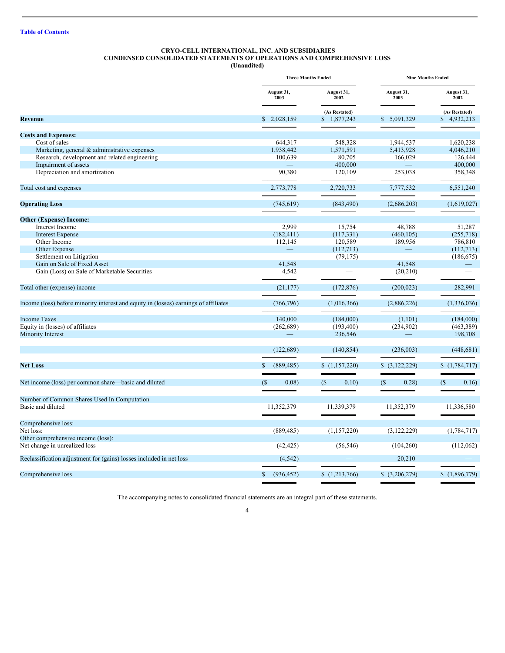## <span id="page-3-0"></span>**CRYO-CELL INTERNATIONAL, INC. AND SUBSIDIARIES CONDENSED CONSOLIDATED STATEMENTS OF OPERATIONS AND COMPREHENSIVE LOSS**

**(Unaudited)**

|                                                                                      |                            | <b>Three Months Ended</b> | <b>Nine Months Ended</b>   |                    |  |
|--------------------------------------------------------------------------------------|----------------------------|---------------------------|----------------------------|--------------------|--|
|                                                                                      | August 31,<br>2003         | August 31,<br>2002        | August 31,<br>2003         | August 31,<br>2002 |  |
|                                                                                      |                            | (As Restated)             |                            | (As Restated)      |  |
| <b>Revenue</b>                                                                       | \$2,028,159                | \$1,877,243               | \$5,091,329                | \$4,932,213        |  |
| <b>Costs and Expenses:</b>                                                           |                            |                           |                            |                    |  |
| Cost of sales                                                                        | 644,317                    | 548,328                   | 1,944,537                  | 1,620,238          |  |
| Marketing, general & administrative expenses                                         | 1,938,442                  | 1,571,591                 | 5,413,928                  | 4,046,210          |  |
| Research, development and related engineering                                        | 100,639                    | 80,705                    | 166,029                    | 126,444            |  |
| Impairment of assets                                                                 |                            | 400,000                   |                            | 400,000            |  |
| Depreciation and amortization                                                        | 90,380                     | 120,109                   | 253,038                    | 358,348            |  |
| Total cost and expenses                                                              | 2,773,778                  | 2,720,733                 | 7,777,532                  | 6,551,240          |  |
| <b>Operating Loss</b>                                                                | (745, 619)                 | (843, 490)                | (2,686,203)                | (1,619,027)        |  |
| <b>Other (Expense) Income:</b>                                                       |                            |                           |                            |                    |  |
| Interest Income                                                                      | 2.999                      | 15,754                    | 48,788                     | 51,287             |  |
| <b>Interest Expense</b>                                                              | (182, 411)                 | (117, 331)                | (460, 105)                 | (255,718)          |  |
| Other Income                                                                         | 112,145                    | 120,589                   | 189,956                    | 786,810            |  |
| Other Expense                                                                        |                            | (112, 713)                |                            | (112, 713)         |  |
| Settlement on Litigation                                                             |                            | (79, 175)                 |                            | (186, 675)         |  |
| Gain on Sale of Fixed Asset                                                          | 41.548                     |                           | 41.548                     |                    |  |
| Gain (Loss) on Sale of Marketable Securities                                         | 4,542                      |                           | (20, 210)                  |                    |  |
| Total other (expense) income                                                         | (21, 177)                  | (172, 876)                | (200, 023)                 | 282,991            |  |
| Income (loss) before minority interest and equity in (losses) earnings of affiliates | (766, 796)                 | (1,016,366)               | (2,886,226)                | (1,336,036)        |  |
| <b>Income Taxes</b>                                                                  | 140,000                    | (184,000)                 | (1, 101)                   | (184,000)          |  |
| Equity in (losses) of affiliates                                                     | (262, 689)                 | (193, 400)                | (234,902)                  | (463, 389)         |  |
| Minority Interest                                                                    |                            | 236,546                   |                            | 198,708            |  |
|                                                                                      | (122,689)                  | (140, 854)                | (236,003)                  | (448, 681)         |  |
| <b>Net Loss</b>                                                                      | (889, 485)<br>\$.          | (1,157,220)               | \$(3,122,229)              | \$(1,784,717)      |  |
|                                                                                      |                            |                           |                            |                    |  |
| Net income (loss) per common share—basic and diluted                                 | (S<br>0.08)                | (S)<br>0.10)              | (S <sub>0</sub> )<br>0.28) | (S)<br>0.16)       |  |
| Number of Common Shares Used In Computation                                          |                            |                           |                            |                    |  |
| Basic and diluted                                                                    | 11,352,379                 | 11,339,379                | 11,352,379                 | 11,336,580         |  |
| Comprehensive loss:                                                                  |                            |                           |                            |                    |  |
| Net loss:                                                                            | (889, 485)                 | (1,157,220)               | (3, 122, 229)              | (1,784,717)        |  |
| Other comprehensive income (loss):                                                   |                            |                           |                            |                    |  |
| Net change in unrealized loss                                                        | (42, 425)                  | (56, 546)                 | (104,260)                  | (112,062)          |  |
| Reclassification adjustment for (gains) losses included in net loss                  | (4,542)                    |                           | 20.210                     |                    |  |
| Comprehensive loss                                                                   | $\mathbb{S}$<br>(936, 452) | (1,213,766)               | \$(3,206,279)              | (1,896,779)        |  |

The accompanying notes to consolidated financial statements are an integral part of these statements.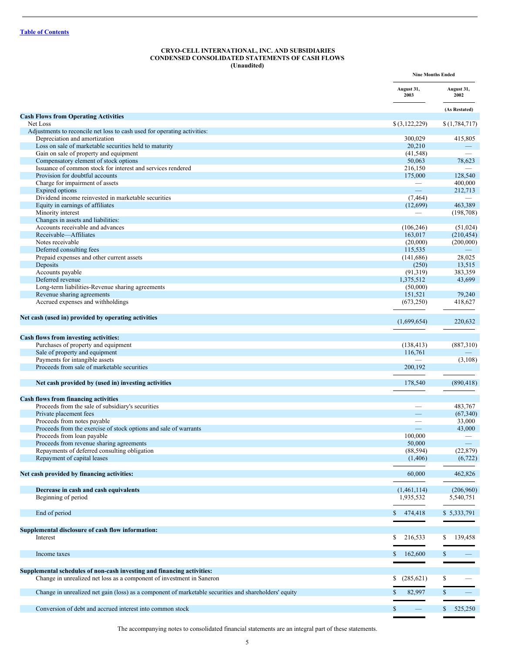#### <span id="page-4-0"></span>**CRYO-CELL INTERNATIONAL, INC. AND SUBSIDIARIES CONDENSED CONSOLIDATED STATEMENTS OF CASH FLOWS (Unaudited)**

|                                                                                                       | <b>Nine Months Ended</b>                 |                         |
|-------------------------------------------------------------------------------------------------------|------------------------------------------|-------------------------|
|                                                                                                       | August 31,<br>2003                       | August 31,<br>2002      |
|                                                                                                       |                                          | (As Restated)           |
| <b>Cash Flows from Operating Activities</b><br>Net Loss                                               | \$(3,122,229)                            | \$(1,784,717)           |
| Adjustments to reconcile net loss to cash used for operating activities:                              |                                          |                         |
| Depreciation and amortization                                                                         | 300,029                                  | 415,805                 |
| Loss on sale of marketable securities held to maturity                                                | 20,210                                   |                         |
| Gain on sale of property and equipment                                                                | (41, 548)                                |                         |
| Compensatory element of stock options                                                                 | 50,063                                   | 78,623                  |
| Issuance of common stock for interest and services rendered                                           | 216,150                                  |                         |
| Provision for doubtful accounts<br>Charge for impairment of assets                                    | 175,000                                  | 128,540<br>400,000      |
| Expired options                                                                                       | $\equiv$                                 | 212,713                 |
| Dividend income reinvested in marketable securities                                                   | (7, 464)                                 |                         |
| Equity in earnings of affiliates                                                                      | (12,699)                                 | 463,389                 |
| Minority interest                                                                                     |                                          | (198, 708)              |
| Changes in assets and liabilities:                                                                    |                                          |                         |
| Accounts receivable and advances                                                                      | (106, 246)                               | (51, 024)               |
| Receivable-Affiliates                                                                                 | 163,017                                  | (210, 454)              |
| Notes receivable                                                                                      | (20,000)                                 | (200,000)               |
| Deferred consulting fees                                                                              | 115,535                                  | 28,025                  |
| Prepaid expenses and other current assets<br>Deposits                                                 | (141, 686)<br>(250)                      | 13,515                  |
| Accounts payable                                                                                      | (91, 319)                                | 383,359                 |
| Deferred revenue                                                                                      | 1,375,512                                | 43,699                  |
| Long-term liabilities-Revenue sharing agreements                                                      | (50,000)                                 |                         |
| Revenue sharing agreements                                                                            | 151,521                                  | 79,240                  |
| Accrued expenses and withholdings                                                                     | (673,250)                                | 418,627                 |
| Net cash (used in) provided by operating activities                                                   | (1,699,654)                              | 220,632                 |
|                                                                                                       |                                          |                         |
| Cash flows from investing activities:                                                                 |                                          |                         |
| Purchases of property and equipment                                                                   | (138, 413)                               | (887,310)               |
| Sale of property and equipment<br>Payments for intangible assets                                      | 116,761                                  | (3,108)                 |
| Proceeds from sale of marketable securities                                                           | 200,192                                  |                         |
|                                                                                                       |                                          |                         |
| Net cash provided by (used in) investing activities                                                   | 178,540                                  | (890, 418)              |
| <b>Cash flows from financing activities</b>                                                           |                                          |                         |
| Proceeds from the sale of subsidiary's securities                                                     | $\overline{\phantom{0}}$                 | 483,767                 |
| Private placement fees                                                                                |                                          | (67, 340)               |
| Proceeds from notes payable                                                                           |                                          | 33,000                  |
| Proceeds from the exercise of stock options and sale of warrants                                      |                                          | 43,000                  |
| Proceeds from loan payable<br>Proceeds from revenue sharing agreements                                | 100,000<br>50,000                        |                         |
| Repayments of deferred consulting obligation                                                          | (88, 594)                                | (22, 879)               |
| Repayment of capital leases                                                                           | (1,406)                                  | (6,722)                 |
|                                                                                                       |                                          |                         |
| Net cash provided by financing activities:                                                            | 60,000                                   | 462,826                 |
|                                                                                                       | (1,461,114)                              | (206,960)               |
| Decrease in cash and cash equivalents<br>Beginning of period                                          | 1,935,532                                | 5,540,751               |
|                                                                                                       |                                          |                         |
| End of period                                                                                         | \$<br>474,418                            | \$5,333,791             |
|                                                                                                       |                                          |                         |
| Supplemental disclosure of cash flow information:                                                     |                                          |                         |
| Interest                                                                                              | 216,533<br>S.                            | 139,458<br>\$           |
| Income taxes                                                                                          | 162,600<br>\$                            | \$                      |
| Supplemental schedules of non-cash investing and financing activities:                                |                                          |                         |
| Change in unrealized net loss as a component of investment in Saneron                                 | (285, 621)<br>S.                         | \$                      |
|                                                                                                       |                                          |                         |
| Change in unrealized net gain (loss) as a component of marketable securities and shareholders' equity | 82,997<br>S                              | $\mathbb{S}$            |
|                                                                                                       |                                          |                         |
| Conversion of debt and accrued interest into common stock                                             | $\mathbb{S}$<br>$\overline{\phantom{0}}$ | $\mathbb{S}$<br>525,250 |

The accompanying notes to consolidated financial statements are an integral part of these statements.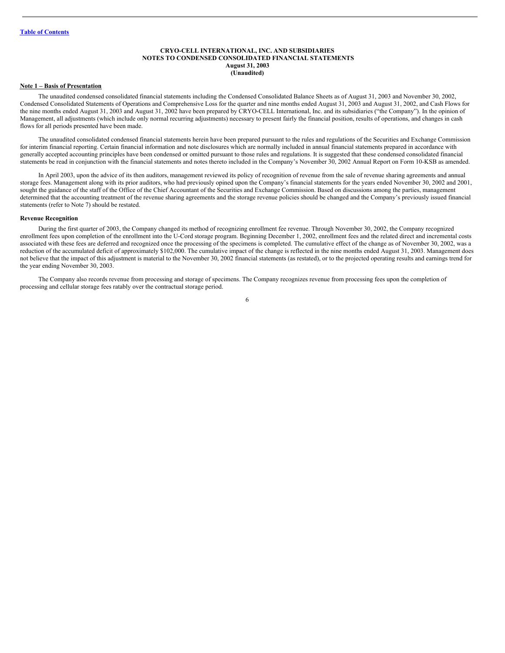#### <span id="page-5-0"></span>**CRYO-CELL INTERNATIONAL, INC. AND SUBSIDIARIES NOTES TO CONDENSED CONSOLIDATED FINANCIAL STATEMENTS August 31, 2003 (Unaudited)**

#### **Note 1 – Basis of Presentation**

The unaudited condensed consolidated financial statements including the Condensed Consolidated Balance Sheets as of August 31, 2003 and November 30, 2002, Condensed Consolidated Statements of Operations and Comprehensive Loss for the quarter and nine months ended August 31, 2003 and August 31, 2002, and Cash Flows for the nine months ended August 31, 2003 and August 31, 2002 have been prepared by CRYO-CELL International, Inc. and its subsidiaries ("the Company"). In the opinion of Management, all adjustments (which include only normal recurring adjustments) necessary to present fairly the financial position, results of operations, and changes in cash flows for all periods presented have been made.

The unaudited consolidated condensed financial statements herein have been prepared pursuant to the rules and regulations of the Securities and Exchange Commission for interim financial reporting. Certain financial information and note disclosures which are normally included in annual financial statements prepared in accordance with generally accepted accounting principles have been condensed or omitted pursuant to those rules and regulations. It is suggested that these condensed consolidated financial statements be read in conjunction with the financial statements and notes thereto included in the Company's November 30, 2002 Annual Report on Form 10-KSB as amended.

In April 2003, upon the advice of its then auditors, management reviewed its policy of recognition of revenue from the sale of revenue sharing agreements and annual storage fees. Management along with its prior auditors, who had previously opined upon the Company's financial statements for the years ended November 30, 2002 and 2001, sought the guidance of the staff of the Office of the Chief Accountant of the Securities and Exchange Commission. Based on discussions among the parties, management determined that the accounting treatment of the revenue sharing agreements and the storage revenue policies should be changed and the Company's previously issued financial statements (refer to Note 7) should be restated.

#### **Revenue Recognition**

During the first quarter of 2003, the Company changed its method of recognizing enrollment fee revenue. Through November 30, 2002, the Company recognized enrollment fees upon completion of the enrollment into the U-Cord storage program. Beginning December 1, 2002, enrollment fees and the related direct and incremental costs associated with these fees are deferred and recognized once the processing of the specimens is completed. The cumulative effect of the change as of November 30, 2002, was a reduction of the accumulated deficit of approximately \$102,000. The cumulative impact of the change is reflected in the nine months ended August 31, 2003. Management does not believe that the impact of this adjustment is material to the November 30, 2002 financial statements (as restated), or to the projected operating results and earnings trend for the year ending November 30, 2003.

The Company also records revenue from processing and storage of specimens. The Company recognizes revenue from processing fees upon the completion of processing and cellular storage fees ratably over the contractual storage period.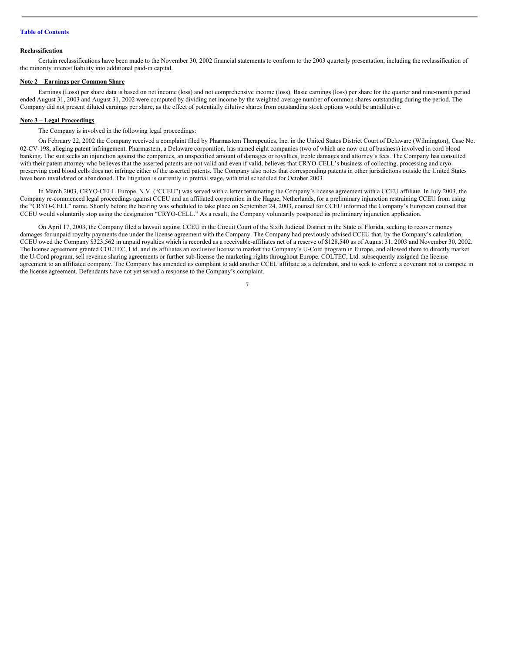#### **Reclassification**

Certain reclassifications have been made to the November 30, 2002 financial statements to conform to the 2003 quarterly presentation, including the reclassification of the minority interest liability into additional paid-in capital.

#### **Note 2 – Earnings per Common Share**

Earnings (Loss) per share data is based on net income (loss) and not comprehensive income (loss). Basic earnings (loss) per share for the quarter and nine-month period ended August 31, 2003 and August 31, 2002 were computed by dividing net income by the weighted average number of common shares outstanding during the period. The Company did not present diluted earnings per share, as the effect of potentially dilutive shares from outstanding stock options would be antidilutive.

#### **Note 3 – Legal Proceedings**

The Company is involved in the following legal proceedings:

On February 22, 2002 the Company received a complaint filed by Pharmastem Therapeutics, Inc. in the United States District Court of Delaware (Wilmington), Case No. 02-CV-198, alleging patent infringement. Pharmastem, a Delaware corporation, has named eight companies (two of which are now out of business) involved in cord blood banking. The suit seeks an injunction against the companies, an unspecified amount of damages or royalties, treble damages and attorney's fees. The Company has consulted with their patent attorney who believes that the asserted patents are not valid and even if valid, believes that CRYO-CELL's business of collecting, processing and cryopreserving cord blood cells does not infringe either of the asserted patents. The Company also notes that corresponding patents in other jurisdictions outside the United States have been invalidated or abandoned. The litigation is currently in pretrial stage, with trial scheduled for October 2003.

In March 2003, CRYO-CELL Europe, N.V. ("CCEU") was served with a letter terminating the Company's license agreement with a CCEU affiliate. In July 2003, the Company re-commenced legal proceedings against CCEU and an affiliated corporation in the Hague, Netherlands, for a preliminary injunction restraining CCEU from using the "CRYO-CELL" name. Shortly before the hearing was scheduled to take place on September 24, 2003, counsel for CCEU informed the Company's European counsel that CCEU would voluntarily stop using the designation "CRYO-CELL." As a result, the Company voluntarily postponed its preliminary injunction application.

On April 17, 2003, the Company filed a lawsuit against CCEU in the Circuit Court of the Sixth Judicial District in the State of Florida, seeking to recover money damages for unpaid royalty payments due under the license agreement with the Company. The Company had previously advised CCEU that, by the Company's calculation, CCEU owed the Company \$323,562 in unpaid royalties which is recorded as a receivable-affiliates net of a reserve of \$128,540 as of August 31, 2003 and November 30, 2002. The license agreement granted COLTEC, Ltd. and its affiliates an exclusive license to market the Company's U-Cord program in Europe, and allowed them to directly market the U-Cord program, sell revenue sharing agreements or further sub-license the marketing rights throughout Europe. COLTEC, Ltd. subsequently assigned the license agreement to an affiliated company. The Company has amended its complaint to add another CCEU affiliate as a defendant, and to seek to enforce a covenant not to compete in the license agreement. Defendants have not yet served a response to the Company's complaint.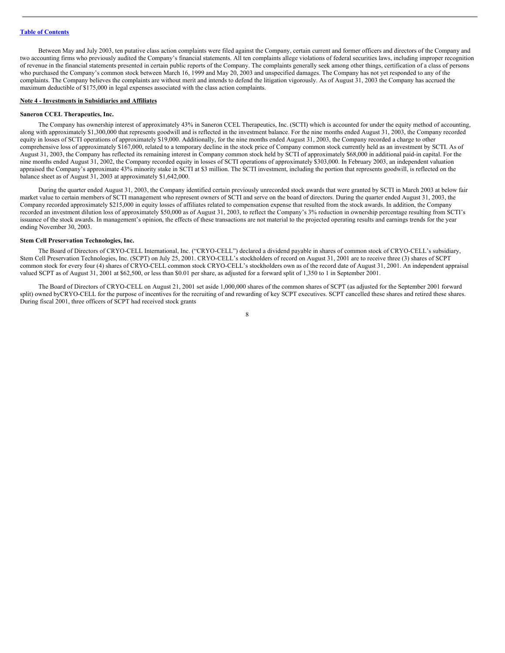Between May and July 2003, ten putative class action complaints were filed against the Company, certain current and former officers and directors of the Company and two accounting firms who previously audited the Company's financial statements. All ten complaints allege violations of federal securities laws, including improper recognition of revenue in the financial statements presented in certain public reports of the Company. The complaints generally seek among other things, certification of a class of persons who purchased the Company's common stock between March 16, 1999 and May 20, 2003 and unspecified damages. The Company has not yet responded to any of the complaints. The Company believes the complaints are without merit and intends to defend the litigation vigorously. As of August 31, 2003 the Company has accrued the maximum deductible of \$175,000 in legal expenses associated with the class action complaints.

#### **Note 4 - Investments in Subsidiaries and Affiliates**

#### **Saneron CCEL Therapeutics, Inc.**

The Company has ownership interest of approximately 43% in Saneron CCEL Therapeutics, Inc. (SCTI) which is accounted for under the equity method of accounting, along with approximately \$1,300,000 that represents goodwill and is reflected in the investment balance. For the nine months ended August 31, 2003, the Company recorded equity in losses of SCTI operations of approximately \$19,000. Additionally, for the nine months ended August 31, 2003, the Company recorded a charge to other comprehensive loss of approximately \$167,000, related to a temporary decline in the stock price of Company common stock currently held as an investment by SCTI. As of August 31, 2003, the Company has reflected its remaining interest in Company common stock held by SCTI of approximately \$68,000 in additional paid-in capital. For the nine months ended August 31, 2002, the Company recorded equity in losses of SCTI operations of approximately \$303,000. In February 2003, an independent valuation appraised the Company's approximate 43% minority stake in SCTI at \$3 million. The SCTI investment, including the portion that represents goodwill, is reflected on the balance sheet as of August 31, 2003 at approximately \$1,642,000.

During the quarter ended August 31, 2003, the Company identified certain previously unrecorded stock awards that were granted by SCTI in March 2003 at below fair market value to certain members of SCTI management who represent owners of SCTI and serve on the board of directors. During the quarter ended August 31, 2003, the Company recorded approximately \$215,000 in equity losses of affiliates related to compensation expense that resulted from the stock awards. In addition, the Company recorded an investment dilution loss of approximately \$50,000 as of August 31, 2003, to reflect the Company's 3% reduction in ownership percentage resulting from SCTI's issuance of the stock awards. In management's opinion, the effects of these transactions are not material to the projected operating results and earnings trends for the year ending November 30, 2003.

#### **Stem Cell Preservation Technologies, Inc.**

The Board of Directors of CRYO-CELL International, Inc. ("CRYO-CELL") declared a dividend payable in shares of common stock of CRYO-CELL's subsidiary, Stem Cell Preservation Technologies, Inc. (SCPT) on July 25, 2001. CRYO-CELL's stockholders of record on August 31, 2001 are to receive three (3) shares of SCPT common stock for every four (4) shares of CRYO-CELL common stock CRYO-CELL's stockholders own as of the record date of August 31, 2001. An independent appraisal valued SCPT as of August 31, 2001 at \$62,500, or less than \$0.01 per share, as adjusted for a forward split of 1,350 to 1 in September 2001.

The Board of Directors of CRYO-CELL on August 21, 2001 set aside 1,000,000 shares of the common shares of SCPT (as adjusted for the September 2001 forward split) owned byCRYO-CELL for the purpose of incentives for the recruiting of and rewarding of key SCPT executives. SCPT cancelled these shares and retired these shares. During fiscal 2001, three officers of SCPT had received stock grants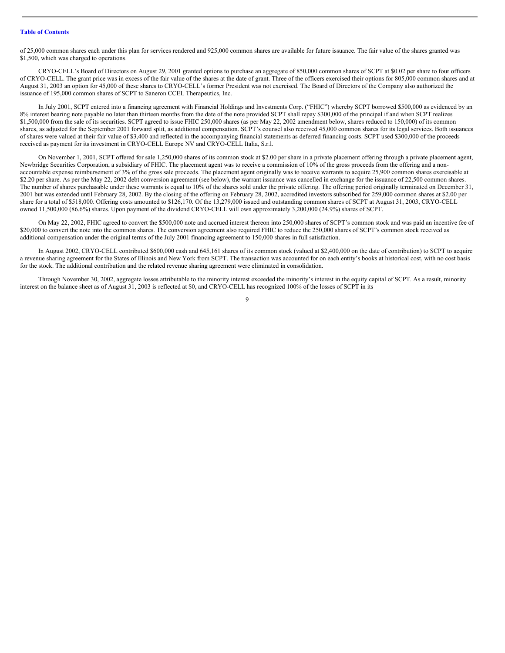of 25,000 common shares each under this plan for services rendered and 925,000 common shares are available for future issuance. The fair value of the shares granted was \$1,500, which was charged to operations.

CRYO-CELL's Board of Directors on August 29, 2001 granted options to purchase an aggregate of 850,000 common shares of SCPT at \$0.02 per share to four officers of CRYO-CELL. The grant price was in excess of the fair value of the shares at the date of grant. Three of the officers exercised their options for 805,000 common shares and at August 31, 2003 an option for 45,000 of these shares to CRYO-CELL's former President was not exercised. The Board of Directors of the Company also authorized the issuance of 195,000 common shares of SCPT to Saneron CCEL Therapeutics, Inc.

In July 2001, SCPT entered into a financing agreement with Financial Holdings and Investments Corp. ("FHIC") whereby SCPT borrowed \$500,000 as evidenced by an 8% interest bearing note payable no later than thirteen months from the date of the note provided SCPT shall repay \$300,000 of the principal if and when SCPT realizes \$1,500,000 from the sale of its securities. SCPT agreed to issue FHIC 250,000 shares (as per May 22, 2002 amendment below, shares reduced to 150,000) of its common shares, as adjusted for the September 2001 forward split, as additional compensation. SCPT's counsel also received 45,000 common shares for its legal services. Both issuances of shares were valued at their fair value of \$3,400 and reflected in the accompanying financial statements as deferred financing costs. SCPT used \$300,000 of the proceeds received as payment for its investment in CRYO-CELL Europe NV and CRYO-CELL Italia, S.r.l.

On November 1, 2001, SCPT offered for sale 1,250,000 shares of its common stock at \$2.00 per share in a private placement offering through a private placement agent, Newbridge Securities Corporation, a subsidiary of FHIC. The placement agent was to receive a commission of 10% of the gross proceeds from the offering and a nonaccountable expense reimbursement of 3% of the gross sale proceeds. The placement agent originally was to receive warrants to acquire 25,900 common shares exercisable at \$2.20 per share. As per the May 22, 2002 debt conversion agreement (see below), the warrant issuance was cancelled in exchange for the issuance of 22,500 common shares. The number of shares purchasable under these warrants is equal to 10% of the shares sold under the private offering. The offering period originally terminated on December 31, 2001 but was extended until February 28, 2002. By the closing of the offering on February 28, 2002, accredited investors subscribed for 259,000 common shares at \$2.00 per share for a total of \$518,000. Offering costs amounted to \$126,170. Of the 13,279,000 issued and outstanding common shares of SCPT at August 31, 2003, CRYO-CELL owned 11,500,000 (86.6%) shares. Upon payment of the dividend CRYO-CELL will own approximately 3,200,000 (24.9%) shares of SCPT.

On May 22, 2002, FHIC agreed to convert the \$500,000 note and accrued interest thereon into 250,000 shares of SCPT's common stock and was paid an incentive fee of \$20,000 to convert the note into the common shares. The conversion agreement also required FHIC to reduce the 250,000 shares of SCPT's common stock received as additional compensation under the original terms of the July 2001 financing agreement to 150,000 shares in full satisfaction.

In August 2002, CRYO-CELL contributed \$600,000 cash and 645,161 shares of its common stock (valued at \$2,400,000 on the date of contribution) to SCPT to acquire a revenue sharing agreement for the States of Illinois and New York from SCPT. The transaction was accounted for on each entity's books at historical cost, with no cost basis for the stock. The additional contribution and the related revenue sharing agreement were eliminated in consolidation.

Through November 30, 2002, aggregate losses attributable to the minority interest exceeded the minority's interest in the equity capital of SCPT. As a result, minority interest on the balance sheet as of August 31, 2003 is reflected at \$0, and CRYO-CELL has recognized 100% of the losses of SCPT in its

 $\overline{Q}$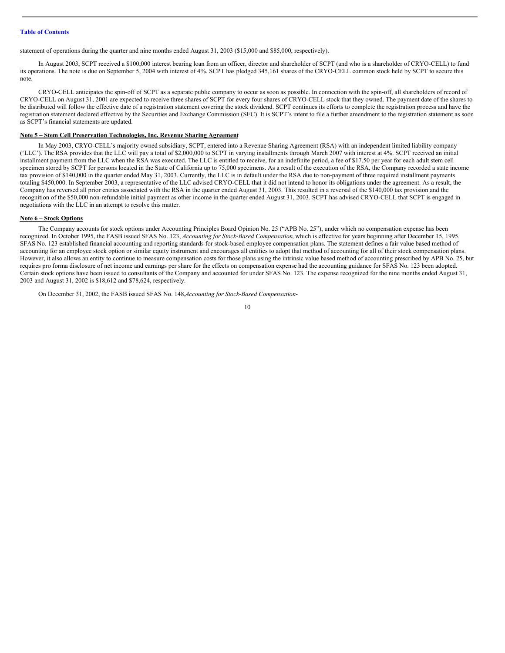statement of operations during the quarter and nine months ended August 31, 2003 (\$15,000 and \$85,000, respectively).

In August 2003, SCPT received a \$100,000 interest bearing loan from an officer, director and shareholder of SCPT (and who is a shareholder of CRYO-CELL) to fund its operations. The note is due on September 5, 2004 with interest of 4%. SCPT has pledged 345,161 shares of the CRYO-CELL common stock held by SCPT to secure this note.

CRYO-CELL anticipates the spin-off of SCPT as a separate public company to occur as soon as possible. In connection with the spin-off, all shareholders of record of CRYO-CELL on August 31, 2001 are expected to receive three shares of SCPT for every four shares of CRYO-CELL stock that they owned. The payment date of the shares to be distributed will follow the effective date of a registration statement covering the stock dividend. SCPT continues its efforts to complete the registration process and have the registration statement declared effective by the Securities and Exchange Commission (SEC). It is SCPT's intent to file a further amendment to the registration statement as soon as SCPT's financial statements are updated.

#### **Note 5 – Stem Cell Preservation Technologies, Inc. Revenue Sharing Agreement**

In May 2003, CRYO-CELL's majority owned subsidiary, SCPT, entered into a Revenue Sharing Agreement (RSA) with an independent limited liability company ('LLC'). The RSA provides that the LLC will pay a total of \$2,000,000 to SCPT in varying installments through March 2007 with interest at 4%. SCPT received an initial installment payment from the LLC when the RSA was executed. The LLC is entitled to receive, for an indefinite period, a fee of \$17.50 per year for each adult stem cell specimen stored by SCPT for persons located in the State of California up to 75,000 specimens. As a result of the execution of the RSA, the Company recorded a state income tax provision of \$140,000 in the quarter ended May 31, 2003. Currently, the LLC is in default under the RSA due to non-payment of three required installment payments totaling \$450,000. In September 2003, a representative of the LLC advised CRYO-CELL that it did not intend to honor its obligations under the agreement. As a result, the Company has reversed all prior entries associated with the RSA in the quarter ended August 31, 2003. This resulted in a reversal of the \$140,000 tax provision and the recognition of the \$50,000 non-refundable initial payment as other income in the quarter ended August 31, 2003. SCPT has advised CRYO-CELL that SCPT is engaged in negotiations with the LLC in an attempt to resolve this matter.

#### **Note 6 – Stock Options**

The Company accounts for stock options under Accounting Principles Board Opinion No. 25 ("APB No. 25"), under which no compensation expense has been recognized. In October 1995, the FASB issued SFAS No. 123, *Accounting for Stock-Based Compensation*, which is effective for years beginning after December 15, 1995. SFAS No. 123 established financial accounting and reporting standards for stock-based employee compensation plans. The statement defines a fair value based method of accounting for an employee stock option or similar equity instrument and encourages all entities to adopt that method of accounting for all of their stock compensation plans. However, it also allows an entity to continue to measure compensation costs for those plans using the intrinsic value based method of accounting prescribed by APB No. 25, but requires pro forma disclosure of net income and earnings per share for the effects on compensation expense had the accounting guidance for SFAS No. 123 been adopted. Certain stock options have been issued to consultants of the Company and accounted for under SFAS No. 123. The expense recognized for the nine months ended August 31, 2003 and August 31, 2002 is \$18,612 and \$78,624, respectively.

On December 31, 2002, the FASB issued SFAS No. 148,*Accounting for Stock-Based Compensation-*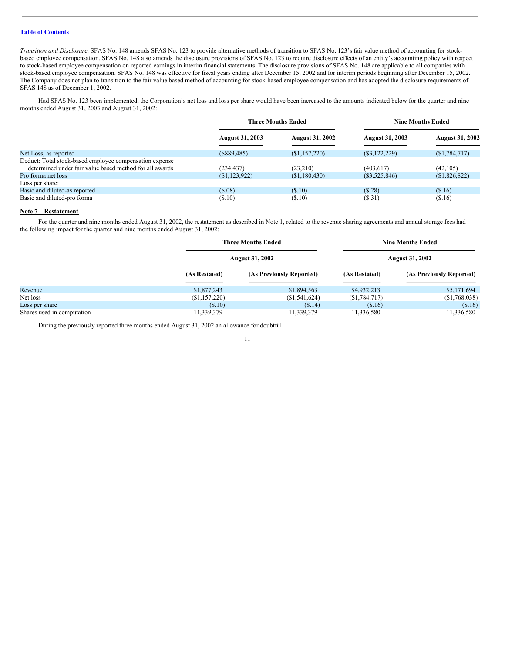*Transition and Disclosure*. SFAS No. 148 amends SFAS No. 123 to provide alternative methods of transition to SFAS No. 123's fair value method of accounting for stockbased employee compensation. SFAS No. 148 also amends the disclosure provisions of SFAS No. 123 to require disclosure effects of an entity's accounting policy with respect to stock-based employee compensation on reported earnings in interim financial statements. The disclosure provisions of SFAS No. 148 are applicable to all companies with stock-based employee compensation. SFAS No. 148 was effective for fiscal years ending after December 15, 2002 and for interim periods beginning after December 15, 2002. The Company does not plan to transition to the fair value based method of accounting for stock-based employee compensation and has adopted the disclosure requirements of SFAS 148 as of December 1, 2002.

Had SFAS No. 123 been implemented, the Corporation's net loss and loss per share would have been increased to the amounts indicated below for the quarter and nine months ended August 31, 2003 and August 31, 2002:

|                                                         | <b>Three Months Ended</b> |                        | <b>Nine Months Ended</b> |                        |
|---------------------------------------------------------|---------------------------|------------------------|--------------------------|------------------------|
|                                                         | <b>August 31, 2003</b>    | <b>August 31, 2002</b> | <b>August 31, 2003</b>   | <b>August 31, 2002</b> |
| Net Loss, as reported                                   | (\$889,485)               | (S1, 157, 220)         | $(\$3,122,229)$          | (S1, 784, 717)         |
| Deduct: Total stock-based employee compensation expense |                           |                        |                          |                        |
| determined under fair value based method for all awards | (234, 437)                | (23,210)               | (403, 617)               | (42,105)               |
| Pro forma net loss                                      | (S1, 123, 922)            | (S1, 180, 430)         | $(\$3,525,846)$          | (S1,826,822)           |
| Loss per share:                                         |                           |                        |                          |                        |
| Basic and diluted-as reported                           | (S.08)                    | (S.10)                 | (S.28)                   | (S.16)                 |
| Basic and diluted-pro forma                             | (S.10)                    | (S.10)                 | (\$.31)                  | (\$.16)                |

#### **Note 7 – Restatement**

For the quarter and nine months ended August 31, 2002, the restatement as described in Note 1, related to the revenue sharing agreements and annual storage fees had the following impact for the quarter and nine months ended August 31, 2002:

|                            |               | <b>Three Months Ended</b> |                | <b>Nine Months Ended</b><br><b>August 31, 2002</b> |  |  |
|----------------------------|---------------|---------------------------|----------------|----------------------------------------------------|--|--|
|                            |               | <b>August 31, 2002</b>    |                |                                                    |  |  |
|                            | (As Restated) | (As Previously Reported)  | (As Restated)  | (As Previously Reported)                           |  |  |
| Revenue                    | \$1,877,243   | \$1,894,563               | \$4,932,213    | \$5,171,694                                        |  |  |
| Net loss                   | (\$1,157,220) | (S1, 541, 624)            | (S1, 784, 717) | (\$1,768,038)                                      |  |  |
| Loss per share             | (S.10)        | (S.14)                    | (S.16)         | (S.16)                                             |  |  |
| Shares used in computation | 11,339,379    | 11,339,379                | 11,336,580     | 11,336,580                                         |  |  |

During the previously reported three months ended August 31, 2002 an allowance for doubtful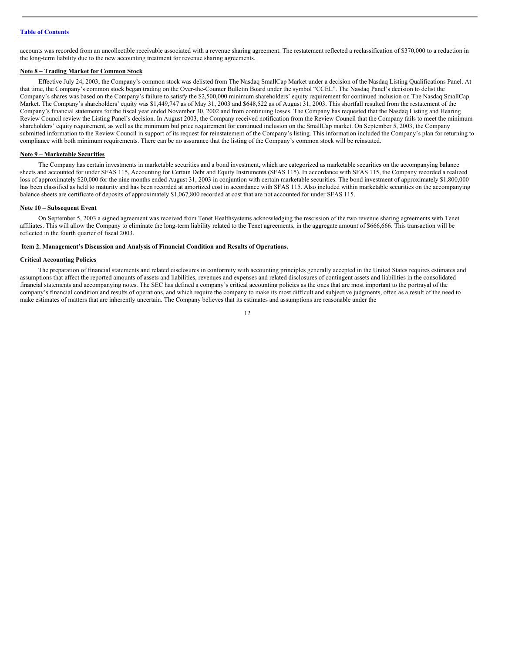accounts was recorded from an uncollectible receivable associated with a revenue sharing agreement. The restatement reflected a reclassification of \$370,000 to a reduction in the long-term liability due to the new accounting treatment for revenue sharing agreements.

#### **Note 8 – Trading Market for Common Stock**

Effective July 24, 2003, the Company's common stock was delisted from The Nasdaq SmallCap Market under a decision of the Nasdaq Listing Qualifications Panel. At that time, the Company's common stock began trading on the Over-the-Counter Bulletin Board under the symbol "CCEL". The Nasdaq Panel's decision to delist the Company's shares was based on the Company's failure to satisfy the \$2,500,000 minimum shareholders' equity requirement for continued inclusion on The Nasdaq SmallCap Market. The Company's shareholders' equity was \$1,449,747 as of May 31, 2003 and \$648,522 as of August 31, 2003. This shortfall resulted from the restatement of the Company's financial statements for the fiscal year ended November 30, 2002 and from continuing losses. The Company has requested that the Nasdaq Listing and Hearing Review Council review the Listing Panel's decision. In August 2003, the Company received notification from the Review Council that the Company fails to meet the minimum shareholders' equity requirement, as well as the minimum bid price requirement for continued inclusion on the SmallCap market. On September 5, 2003, the Company submitted information to the Review Council in support of its request for reinstatement of the Company's listing. This information included the Company's plan for returning to compliance with both minimum requirements. There can be no assurance that the listing of the Company's common stock will be reinstated.

#### **Note 9 – Marketable Securities**

The Company has certain investments in marketable securities and a bond investment, which are categorized as marketable securities on the accompanying balance sheets and accounted for under SFAS 115, Accounting for Certain Debt and Equity Instruments (SFAS 115). In accordance with SFAS 115, the Company recorded a realized loss of approximately \$20,000 for the nine months ended August 31, 2003 in conjuntion with certain marketable securities. The bond investment of approximately \$1,800,000 has been classified as held to maturity and has been recorded at amortized cost in accordance with SFAS 115. Also included within marketable securities on the accompanying balance sheets are certificate of deposits of approximately \$1,067,800 recorded at cost that are not accounted for under SFAS 115.

#### **Note 10 – Subsequent Event**

On September 5, 2003 a signed agreement was received from Tenet Healthsystems acknowledging the rescission of the two revenue sharing agreements with Tenet affiliates. This will allow the Company to eliminate the long-term liability related to the Tenet agreements, in the aggregate amount of \$666,666. This transaction will be reflected in the fourth quarter of fiscal 2003.

#### <span id="page-11-0"></span>**Item 2. Management's Discussion and Analysis of Financial Condition and Results of Operations.**

#### **Critical Accounting Policies**

The preparation of financial statements and related disclosures in conformity with accounting principles generally accepted in the United States requires estimates and assumptions that affect the reported amounts of assets and liabilities, revenues and expenses and related disclosures of contingent assets and liabilities in the consolidated financial statements and accompanying notes. The SEC has defined a company's critical accounting policies as the ones that are most important to the portrayal of the company's financial condition and results of operations, and which require the company to make its most difficult and subjective judgments, often as a result of the need to make estimates of matters that are inherently uncertain. The Company believes that its estimates and assumptions are reasonable under the

12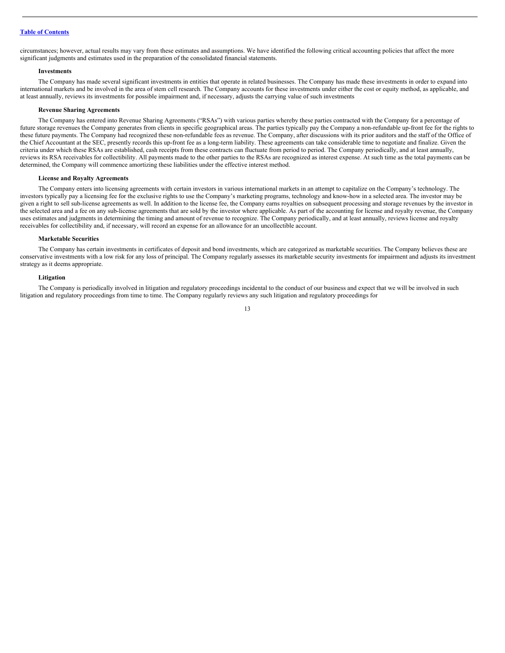circumstances; however, actual results may vary from these estimates and assumptions. We have identified the following critical accounting policies that affect the more significant judgments and estimates used in the preparation of the consolidated financial statements.

#### **Investments**

The Company has made several significant investments in entities that operate in related businesses. The Company has made these investments in order to expand into international markets and be involved in the area of stem cell research. The Company accounts for these investments under either the cost or equity method, as applicable, and at least annually, reviews its investments for possible impairment and, if necessary, adjusts the carrying value of such investments

#### **Revenue Sharing Agreements**

The Company has entered into Revenue Sharing Agreements ("RSAs") with various parties whereby these parties contracted with the Company for a percentage of future storage revenues the Company generates from clients in specific geographical areas. The parties typically pay the Company a non-refundable up-front fee for the rights to these future payments. The Company had recognized these non-refundable fees as revenue. The Company, after discussions with its prior auditors and the staff of the Office of the Chief Accountant at the SEC, presently records this up-front fee as a long-term liability. These agreements can take considerable time to negotiate and finalize. Given the criteria under which these RSAs are established, cash receipts from these contracts can fluctuate from period to period. The Company periodically, and at least annually, reviews its RSA receivables for collectibility. All payments made to the other parties to the RSAs are recognized as interest expense. At such time as the total payments can be determined, the Company will commence amortizing these liabilities under the effective interest method.

#### **License and Royalty Agreements**

The Company enters into licensing agreements with certain investors in various international markets in an attempt to capitalize on the Company's technology. The investors typically pay a licensing fee for the exclusive rights to use the Company's marketing programs, technology and know-how in a selected area. The investor may be given a right to sell sub-license agreements as well. In addition to the license fee, the Company earns royalties on subsequent processing and storage revenues by the investor in the selected area and a fee on any sub-license agreements that are sold by the investor where applicable. As part of the accounting for license and royalty revenue, the Company uses estimates and judgments in determining the timing and amount of revenue to recognize. The Company periodically, and at least annually, reviews license and royalty receivables for collectibility and, if necessary, will record an expense for an allowance for an uncollectible account.

#### **Marketable Securities**

The Company has certain investments in certificates of deposit and bond investments, which are categorized as marketable securities. The Company believes these are conservative investments with a low risk for any loss of principal. The Company regularly assesses its marketable security investments for impairment and adjusts its investment strategy as it deems appropriate.

#### **Litigation**

The Company is periodically involved in litigation and regulatory proceedings incidental to the conduct of our business and expect that we will be involved in such litigation and regulatory proceedings from time to time. The Company regularly reviews any such litigation and regulatory proceedings for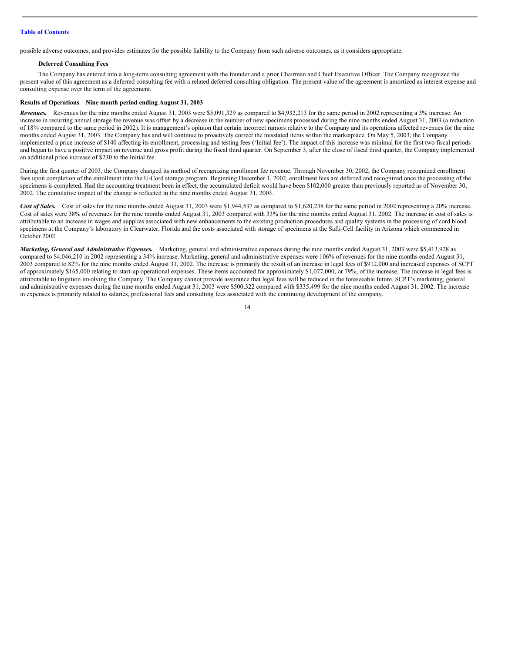possible adverse outcomes, and provides estimates for the possible liability to the Company from such adverse outcomes, as it considers appropriate.

#### **Deferred Consulting Fees**

The Company has entered into a long-term consulting agreement with the founder and a prior Chairman and Chief Executive Officer. The Company recognized the present value of this agreement as a deferred consulting fee with a related deferred consulting obligation. The present value of the agreement is amortized as interest expense and consulting expense over the term of the agreement.

#### **Results of Operations – Nine month period ending August 31, 2003**

*Revenues.* Revenues for the nine months ended August 31, 2003 were \$5,091,329 as compared to \$4,932,213 for the same period in 2002 representing a 3% increase. An increase in recurring annual storage fee revenue was offset by a decrease in the number of new specimens processed during the nine months ended August 31, 2003 (a reduction of 18% compared to the same period in 2002). It is management's opinion that certain incorrect rumors relative to the Company and its operations affected revenues for the nine months ended August 31, 2003. The Company has and will continue to proactively correct the misstated items within the marketplace. On May 5, 2003, the Company implemented a price increase of \$140 affecting its enrollment, processing and testing fees ('Initial fee'). The impact of this increase was minimal for the first two fiscal periods and began to have a positive impact on revenue and gross profit during the fiscal third quarter. On September 3, after the close of fiscal third quarter, the Company implemented an additional price increase of \$230 to the Initial fee.

During the first quarter of 2003, the Company changed its method of recognizing enrollment fee revenue. Through November 30, 2002, the Company recognized enrollment fees upon completion of the enrollment into the U-Cord storage program. Beginning December 1, 2002, enrollment fees are deferred and recognized once the processing of the specimens is completed. Had the accounting treatment been in effect, the accumulated deficit would have been \$102,000 greater than previously reported as of November 30, 2002. The cumulative impact of the change is reflected in the nine months ended August 31, 2003.

Cost of Sales. Cost of sales for the nine months ended August 31, 2003 were \$1,944,537 as compared to \$1,620,238 for the same period in 2002 representing a 20% increase. Cost of sales were 38% of revenues for the nine months ended August 31, 2003 compared with 33% for the nine months ended August 31, 2002. The increase in cost of sales is attributable to an increase in wages and supplies associated with new enhancements to the existing production procedures and quality systems in the processing of cord blood specimens at the Company's laboratory in Clearwater, Florida and the costs associated with storage of specimens at the Safti-Cell facility in Arizona which commenced in October 2002.

*Marketing, General and Administrative Expenses.* Marketing, general and administrative expenses during the nine months ended August 31, 2003 were \$5,413,928 as compared to \$4,046,210 in 2002 representing a 34% increase. Marketing, general and administrative expenses were 106% of revenues for the nine months ended August 31, 2003 compared to 82% for the nine months ended August 31, 2002. The increase is primarily the result of an increase in legal fees of \$912,000 and increased expenses of SCPT of approximately \$165,000 relating to start-up operational expenses. These items accounted for approximately \$1,077,000, or 79%, of the increase. The increase in legal fees is attributable to litigation involving the Company. The Company cannot provide assurance that legal fees will be reduced in the foreseeable future. SCPT's marketing, general and administrative expenses during the nine months ended August 31, 2003 were \$500,322 compared with \$335,499 for the nine months ended August 31, 2002. The increase in expenses is primarily related to salaries, professional fees and consulting fees associated with the continuing development of the company.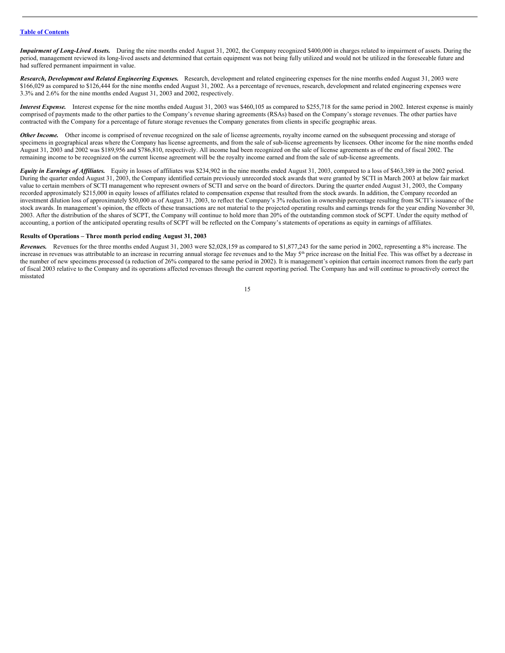*Impairment of Long-Lived Assets.* During the nine months ended August 31, 2002, the Company recognized \$400,000 in charges related to impairment of assets. During the period, management reviewed its long-lived assets and determined that certain equipment was not being fully utilized and would not be utilized in the foreseeable future and had suffered permanent impairment in value.

*Research, Development and Related Engineering Expenses.* Research, development and related engineering expenses for the nine months ended August 31, 2003 were \$166,029 as compared to \$126,444 for the nine months ended August 31, 2002. As a percentage of revenues, research, development and related engineering expenses were 3.3% and 2.6% for the nine months ended August 31, 2003 and 2002, respectively.

*Interest Expense.* Interest expense for the nine months ended August 31, 2003 was \$460,105 as compared to \$255,718 for the same period in 2002. Interest expense is mainly comprised of payments made to the other parties to the Company's revenue sharing agreements (RSAs) based on the Company's storage revenues. The other parties have contracted with the Company for a percentage of future storage revenues the Company generates from clients in specific geographic areas.

*Other Income.* Other income is comprised of revenue recognized on the sale of license agreements, royalty income earned on the subsequent processing and storage of specimens in geographical areas where the Company has license agreements, and from the sale of sub-license agreements by licensees. Other income for the nine months ended August 31, 2003 and 2002 was \$189,956 and \$786,810, respectively. All income had been recognized on the sale of license agreements as of the end of fiscal 2002. The remaining income to be recognized on the current license agreement will be the royalty income earned and from the sale of sub-license agreements.

*Equity in Earnings of Af iliates.* Equity in losses of affiliates was \$234,902 in the nine months ended August 31, 2003, compared to a loss of \$463,389 in the 2002 period. During the quarter ended August 31, 2003, the Company identified certain previously unrecorded stock awards that were granted by SCTI in March 2003 at below fair market value to certain members of SCTI management who represent owners of SCTI and serve on the board of directors. During the quarter ended August 31, 2003, the Company recorded approximately \$215,000 in equity losses of affiliates related to compensation expense that resulted from the stock awards. In addition, the Company recorded an investment dilution loss of approximately \$50,000 as of August 31, 2003, to reflect the Company's 3% reduction in ownership percentage resulting from SCTI's issuance of the stock awards. In management's opinion, the effects of these transactions are not material to the projected operating results and earnings trends for the year ending November 30, 2003. After the distribution of the shares of SCPT, the Company will continue to hold more than 20% of the outstanding common stock of SCPT. Under the equity method of accounting, a portion of the anticipated operating results of SCPT will be reflected on the Company's statements of operations as equity in earnings of affiliates.

#### **Results of Operations – Three month period ending August 31, 2003**

*Revenues.* Revenues for the three months ended August 31, 2003 were \$2,028,159 as compared to \$1,877,243 for the same period in 2002, representing a 8% increase. The increase in revenues was attributable to an increase in recurring annual storage fee revenues and to the May 5<sup>th</sup> price increase on the Initial Fee. This was offset by a decrease in the number of new specimens processed (a reduction of 26% compared to the same period in 2002). It is management's opinion that certain incorrect rumors from the early part of fiscal 2003 relative to the Company and its operations affected revenues through the current reporting period. The Company has and will continue to proactively correct the misstated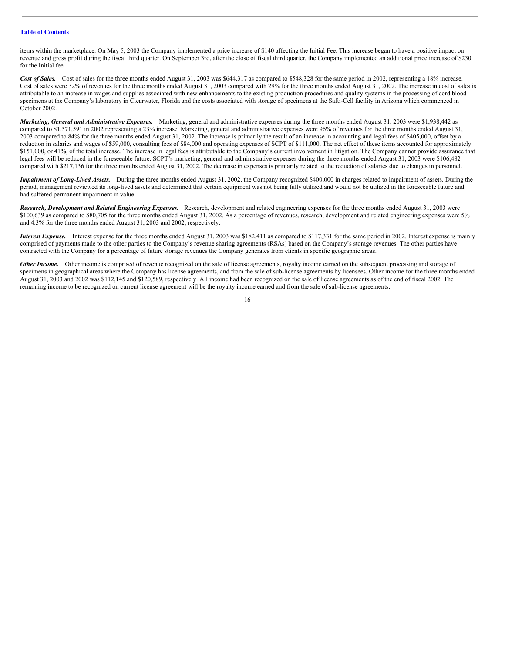items within the marketplace. On May 5, 2003 the Company implemented a price increase of \$140 affecting the Initial Fee. This increase began to have a positive impact on revenue and gross profit during the fiscal third quarter. On September 3rd, after the close of fiscal third quarter, the Company implemented an additional price increase of \$230 for the Initial fee.

Cost of Sales. Cost of sales for the three months ended August 31, 2003 was \$644,317 as compared to \$548,328 for the same period in 2002, representing a 18% increase. Cost of sales were 32% of revenues for the three months ended August 31, 2003 compared with 29% for the three months ended August 31, 2002. The increase in cost of sales is attributable to an increase in wages and supplies associated with new enhancements to the existing production procedures and quality systems in the processing of cord blood specimens at the Company's laboratory in Clearwater, Florida and the costs associated with storage of specimens at the Safti-Cell facility in Arizona which commenced in October 2002.

*Marketing, General and Administrative Expenses.* Marketing, general and administrative expenses during the three months ended August 31, 2003 were \$1,938,442 as compared to \$1,571,591 in 2002 representing a 23% increase. Marketing, general and administrative expenses were 96% of revenues for the three months ended August 31, 2003 compared to 84% for the three months ended August 31, 2002. The increase is primarily the result of an increase in accounting and legal fees of \$405,000, offset by a reduction in salaries and wages of \$59,000, consulting fees of \$84,000 and operating expenses of SCPT of \$111,000. The net effect of these items accounted for approximately \$151,000, or 41%, of the total increase. The increase in legal fees is attributable to the Company's current involvement in litigation. The Company cannot provide assurance that legal fees will be reduced in the foreseeable future. SCPT's marketing, general and administrative expenses during the three months ended August 31, 2003 were \$106,482 compared with \$217,136 for the three months ended August 31, 2002. The decrease in expenses is primarily related to the reduction of salaries due to changes in personnel.

*Impairment of Long-Lived Assets.* During the three months ended August 31, 2002, the Company recognized \$400,000 in charges related to impairment of assets. During the period, management reviewed its long-lived assets and determined that certain equipment was not being fully utilized and would not be utilized in the foreseeable future and had suffered permanent impairment in value.

*Research, Development and Related Engineering Expenses.* Research, development and related engineering expenses for the three months ended August 31, 2003 were \$100,639 as compared to \$80,705 for the three months ended August 31, 2002. As a percentage of revenues, research, development and related engineering expenses were 5% and 4.3% for the three months ended August 31, 2003 and 2002, respectively.

*Interest Expense.* Interest expense for the three months ended August 31, 2003 was \$182,411 as compared to \$117,331 for the same period in 2002. Interest expense is mainly comprised of payments made to the other parties to the Company's revenue sharing agreements (RSAs) based on the Company's storage revenues. The other parties have contracted with the Company for a percentage of future storage revenues the Company generates from clients in specific geographic areas.

*Other Income.* Other income is comprised of revenue recognized on the sale of license agreements, royalty income earned on the subsequent processing and storage of specimens in geographical areas where the Company has license agreements, and from the sale of sub-license agreements by licensees. Other income for the three months ended August 31, 2003 and 2002 was \$112,145 and \$120,589, respectively. All income had been recognized on the sale of license agreements as of the end of fiscal 2002. The remaining income to be recognized on current license agreement will be the royalty income earned and from the sale of sub-license agreements.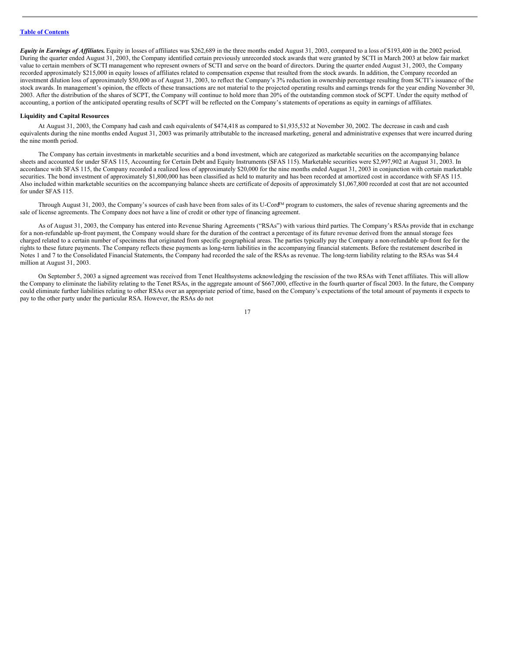*Equity in Earnings of Affiliates.* Equity in losses of affiliates was \$262,689 in the three months ended August 31, 2003, compared to a loss of \$193,400 in the 2002 period. During the quarter ended August 31, 2003, the Company identified certain previously unrecorded stock awards that were granted by SCTI in March 2003 at below fair market value to certain members of SCTI management who represent owners of SCTI and serve on the board of directors. During the quarter ended August 31, 2003, the Company recorded approximately \$215,000 in equity losses of affiliates related to compensation expense that resulted from the stock awards. In addition, the Company recorded an investment dilution loss of approximately \$50,000 as of August 31, 2003, to reflect the Company's 3% reduction in ownership percentage resulting from SCTI's issuance of the stock awards. In management's opinion, the effects of these transactions are not material to the projected operating results and earnings trends for the year ending November 30, 2003. After the distribution of the shares of SCPT, the Company will continue to hold more than 20% of the outstanding common stock of SCPT. Under the equity method of accounting, a portion of the anticipated operating results of SCPT will be reflected on the Company's statements of operations as equity in earnings of affiliates.

#### **Liquidity and Capital Resources**

At August 31, 2003, the Company had cash and cash equivalents of \$474,418 as compared to \$1,935,532 at November 30, 2002. The decrease in cash and cash equivalents during the nine months ended August 31, 2003 was primarily attributable to the increased marketing, general and administrative expenses that were incurred during the nine month period.

The Company has certain investments in marketable securities and a bond investment, which are categorized as marketable securities on the accompanying balance sheets and accounted for under SFAS 115, Accounting for Certain Debt and Equity Instruments (SFAS 115). Marketable securities were \$2,997,902 at August 31, 2003. In accordance with SFAS 115, the Company recorded a realized loss of approximately \$20,000 for the nine months ended August 31, 2003 in conjunction with certain marketable securities. The bond investment of approximately \$1,800,000 has been classified as held to maturity and has been recorded at amortized cost in accordance with SFAS 115. Also included within marketable securities on the accompanying balance sheets are certificate of deposits of approximately \$1,067,800 recorded at cost that are not accounted for under SFAS 115.

Through August 31, 2003, the Company's sources of cash have been from sales of its U-Cord<sup>M</sup> program to customers, the sales of revenue sharing agreements and the sale of license agreements. The Company does not have a line of credit or other type of financing agreement.

As of August 31, 2003, the Company has entered into Revenue Sharing Agreements ("RSAs") with various third parties. The Company's RSAs provide that in exchange for a non-refundable up-front payment, the Company would share for the duration of the contract a percentage of its future revenue derived from the annual storage fees charged related to a certain number of specimens that originated from specific geographical areas. The parties typically pay the Company a non-refundable up-front fee for the rights to these future payments. The Company reflects these payments as long-term liabilities in the accompanying financial statements. Before the restatement described in Notes 1 and 7 to the Consolidated Financial Statements, the Company had recorded the sale of the RSAs as revenue. The long-term liability relating to the RSAs was \$4.4 million at August 31, 2003.

On September 5, 2003 a signed agreement was received from Tenet Healthsystems acknowledging the rescission of the two RSAs with Tenet affiliates. This will allow the Company to eliminate the liability relating to the Tenet RSAs, in the aggregate amount of \$667,000, effective in the fourth quarter of fiscal 2003. In the future, the Company could eliminate further liabilities relating to other RSAs over an appropriate period of time, based on the Company's expectations of the total amount of payments it expects to pay to the other party under the particular RSA. However, the RSAs do not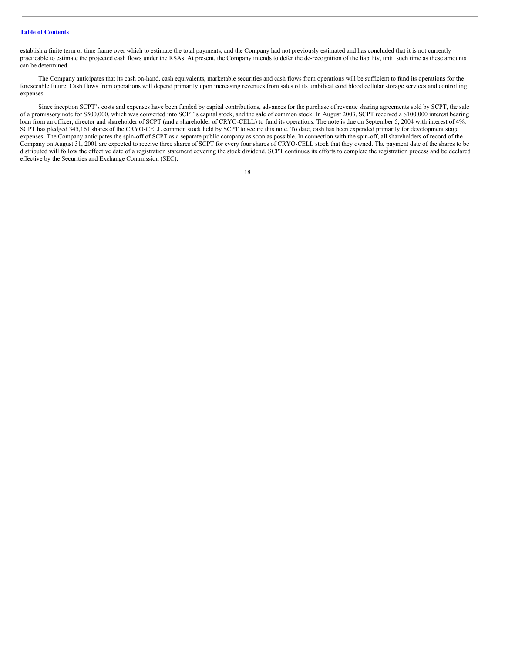establish a finite term or time frame over which to estimate the total payments, and the Company had not previously estimated and has concluded that it is not currently practicable to estimate the projected cash flows under the RSAs. At present, the Company intends to defer the de-recognition of the liability, until such time as these amounts can be determined.

The Company anticipates that its cash on-hand, cash equivalents, marketable securities and cash flows from operations will be sufficient to fund its operations for the foreseeable future. Cash flows from operations will depend primarily upon increasing revenues from sales of its umbilical cord blood cellular storage services and controlling expenses.

Since inception SCPT's costs and expenses have been funded by capital contributions, advances for the purchase of revenue sharing agreements sold by SCPT, the sale of a promissory note for \$500,000, which was converted into SCPT's capital stock, and the sale of common stock. In August 2003, SCPT received a \$100,000 interest bearing loan from an officer, director and shareholder of SCPT (and a shareholder of CRYO-CELL) to fund its operations. The note is due on September 5, 2004 with interest of 4%. SCPT has pledged 345,161 shares of the CRYO-CELL common stock held by SCPT to secure this note. To date, cash has been expended primarily for development stage expenses. The Company anticipates the spin-off of SCPT as a separate public company as soon as possible. In connection with the spin-off, all shareholders of record of the Company on August 31, 2001 are expected to receive three shares of SCPT for every four shares of CRYO-CELL stock that they owned. The payment date of the shares to be distributed will follow the effective date of a registration statement covering the stock dividend. SCPT continues its efforts to complete the registration process and be declared effective by the Securities and Exchange Commission (SEC).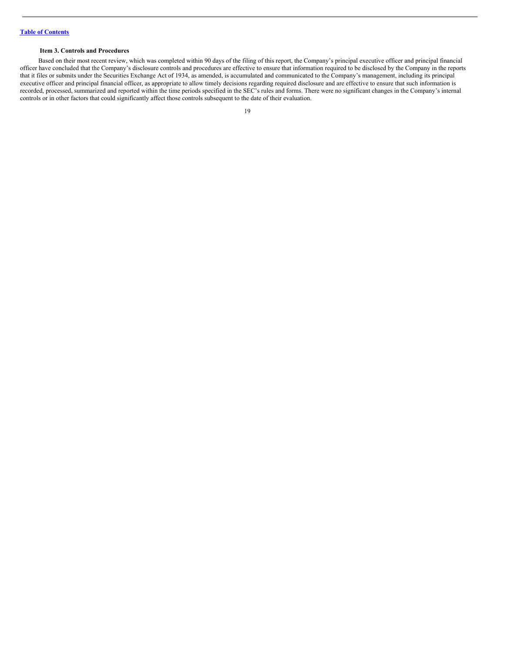#### <span id="page-18-0"></span>**Item 3. Controls and Procedures**

Based on their most recent review, which was completed within 90 days of the filing of this report, the Company's principal executive officer and principal financial officer have concluded that the Company's disclosure controls and procedures are effective to ensure that information required to be disclosed by the Company in the reports that it files or submits under the Securities Exchange Act of 1934, as amended, is accumulated and communicated to the Company's management, including its principal executive officer and principal financial officer, as appropriate to allow timely decisions regarding required disclosure and are effective to ensure that such information is recorded, processed, summarized and reported within the time periods specified in the SEC's rules and forms. There were no significant changes in the Company's internal controls or in other factors that could significantly affect those controls subsequent to the date of their evaluation.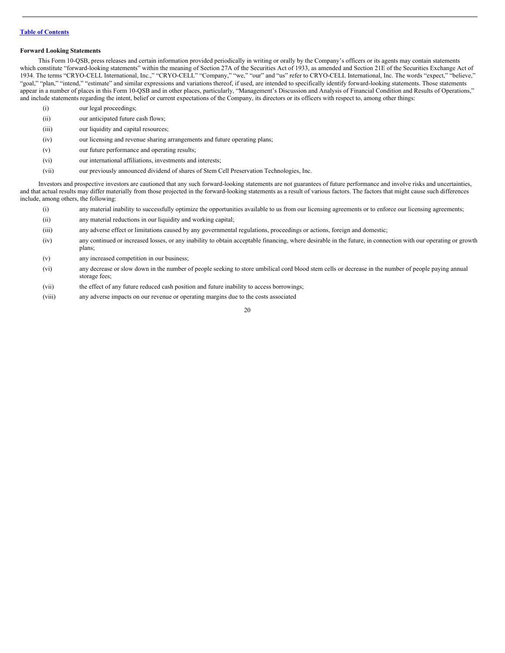#### **Forward Looking Statements**

This Form 10-QSB, press releases and certain information provided periodically in writing or orally by the Company's officers or its agents may contain statements which constitute "forward-looking statements" within the meaning of Section 27A of the Securities Act of 1933, as amended and Section 21E of the Securities Exchange Act of 1934. The terms "CRYO-CELL International, Inc.," "CRYO-CELL" "Company," "we," "our" and "us" refer to CRYO-CELL International, Inc. The words "expect," "believe," "goal," "plan," "intend," "estimate" and similar expressions and variations thereof, if used, are intended to specifically identify forward-looking statements. Those statements appear in a number of places in this Form 10-QSB and in other places, particularly, "Management's Discussion and Analysis of Financial Condition and Results of Operations," and include statements regarding the intent, belief or current expectations of the Company, its directors or its officers with respect to, among other things:

- (i) our legal proceedings;
- (ii) our anticipated future cash flows;
- (iii) our liquidity and capital resources;
- (iv) our licensing and revenue sharing arrangements and future operating plans;
- (v) our future performance and operating results;
- (vi) our international affiliations, investments and interests;
- (vii) our previously announced dividend of shares of Stem Cell Preservation Technologies, Inc.

Investors and prospective investors are cautioned that any such forward-looking statements are not guarantees of future performance and involve risks and uncertainties, and that actual results may differ materially from those projected in the forward-looking statements as a result of various factors. The factors that might cause such differences include, among others, the following:

- (i) any material inability to successfully optimize the opportunities available to us from our licensing agreements or to enforce our licensing agreements;
- (ii) any material reductions in our liquidity and working capital;
- (iii) any adverse effect or limitations caused by any governmental regulations, proceedings or actions, foreign and domestic;
- (iv) any continued or increased losses, or any inability to obtain acceptable financing, where desirable in the future, in connection with our operating or growth plans;
- (v) any increased competition in our business;
- (vi) any decrease or slow down in the number of people seeking to store umbilical cord blood stem cells or decrease in the number of people paying annual storage fees;
- (vii) the effect of any future reduced cash position and future inability to access borrowings;
- (viii) any adverse impacts on our revenue or operating margins due to the costs associated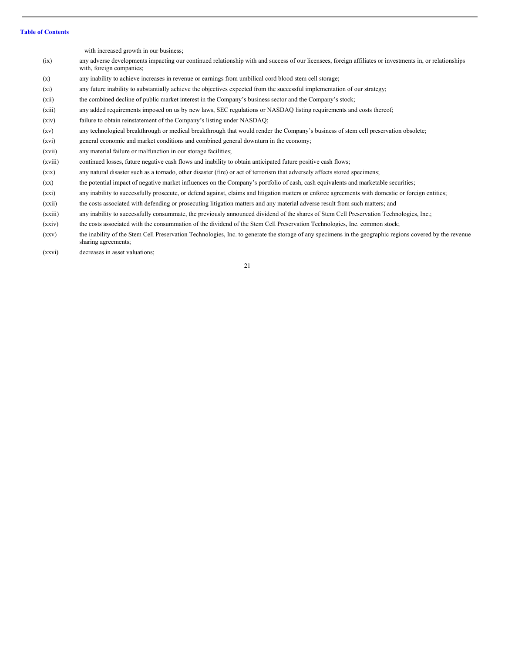with increased growth in our business; (ix) any adverse developments impacting our continued relationship with and success of our licensees, foreign affiliates or investments in, or relationships with, foreign companies; (x) any inability to achieve increases in revenue or earnings from umbilical cord blood stem cell storage;

- (xi) any future inability to substantially achieve the objectives expected from the successful implementation of our strategy;
- (xii) the combined decline of public market interest in the Company's business sector and the Company's stock;
- (xiii) any added requirements imposed on us by new laws, SEC regulations or NASDAQ listing requirements and costs thereof;
- (xiv) failure to obtain reinstatement of the Company's listing under NASDAQ;
- (xv) any technological breakthrough or medical breakthrough that would render the Company's business of stem cell preservation obsolete;
- (xvi) general economic and market conditions and combined general downturn in the economy;
- (xvii) any material failure or malfunction in our storage facilities;
- (xviii) continued losses, future negative cash flows and inability to obtain anticipated future positive cash flows;
- (xix) any natural disaster such as a tornado, other disaster (fire) or act of terrorism that adversely affects stored specimens;
- (xx) the potential impact of negative market influences on the Company's portfolio of cash, cash equivalents and marketable securities;
- (xxi) any inability to successfully prosecute, or defend against, claims and litigation matters or enforce agreements with domestic or foreign entities;
- (xxii) the costs associated with defending or prosecuting litigation matters and any material adverse result from such matters; and
- (xxiii) any inability to successfully consummate, the previously announced dividend of the shares of Stem Cell Preservation Technologies, Inc.;
- (xxiv) the costs associated with the consummation of the dividend of the Stem Cell Preservation Technologies, Inc. common stock;
- (xxv) the inability of the Stem Cell Preservation Technologies, Inc. to generate the storage of any specimens in the geographic regions covered by the revenue sharing agreements;
- (xxvi) decreases in asset valuations;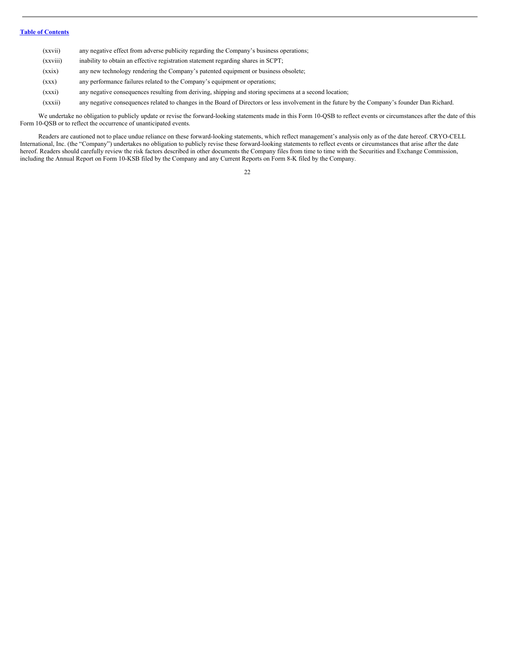| (xxvii)  | any negative effect from adverse publicity regarding the Company's business operations; |
|----------|-----------------------------------------------------------------------------------------|
| (xxviii) | inability to obtain an effective registration statement regarding shares in SCPT;       |
| (xxix)   | any new technology rendering the Company's patented equipment or business obsolete;     |
| (xxx)    | any performance failures related to the Company's equipment or operations;              |
|          |                                                                                         |

- (xxxi) any negative consequences resulting from deriving, shipping and storing specimens at a second location;
- (xxxii) any negative consequences related to changes in the Board of Directors or less involvement in the future by the Company's founder Dan Richard.

We undertake no obligation to publicly update or revise the forward-looking statements made in this Form 10-QSB to reflect events or circumstances after the date of this Form 10-QSB or to reflect the occurrence of unanticipated events.

Readers are cautioned not to place undue reliance on these forward-looking statements, which reflect management's analysis only as of the date hereof. CRYO-CELL International, Inc. (the "Company") undertakes no obligation to publicly revise these forward-looking statements to reflect events or circumstances that arise after the date hereof. Readers should carefully review the risk factors described in other documents the Company files from time to time with the Securities and Exchange Commission, including the Annual Report on Form 10-KSB filed by the Company and any Current Reports on Form 8-K filed by the Company.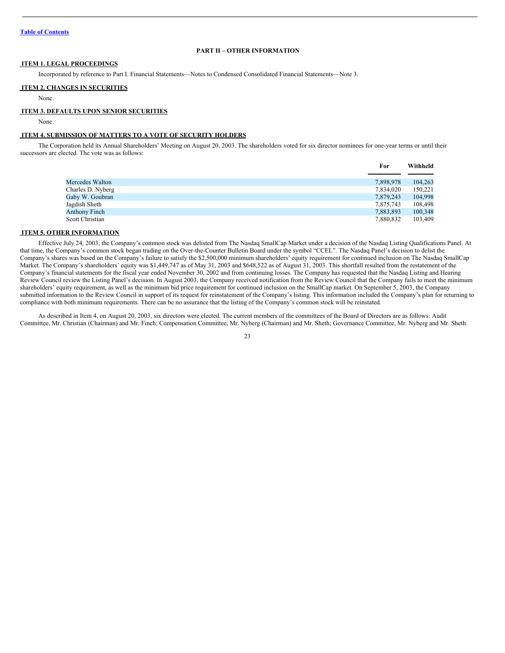## <span id="page-22-0"></span>**PART II – OTHER INFORMATION**

### <span id="page-22-1"></span>**ITEM 1. LEGAL PROCEEDINGS**

Incorporated by reference to Part I. Financial Statements—Notes to Condensed Consolidated Financial Statements—Note 3.

#### <span id="page-22-2"></span>**ITEM 2. CHANGES IN SECURITIES**

None.

#### <span id="page-22-3"></span>**ITEM 3. DEFAULTS UPON SENIOR SECURITIES**

None.

## <span id="page-22-4"></span>**ITEM 4. SUBMISSION OF MATTERS TO A VOTE OF SECURITY HOLDERS**

The Corporation held its Annual Shareholders' Meeting on August 20, 2003. The shareholders voted for six director nominees for one-year terms or until their successors are elected. The vote was as follows:

| .         | ,,,,,,,,,,,, |
|-----------|--------------|
|           |              |
| 7,898,978 | 104.263      |
| 7,834,020 | 150,221      |
| 7,879,243 | 104.998      |
| 7,875,743 | 108.498      |
| 7,883,893 | 100,348      |
| 7,880,832 | 103.409      |
|           |              |

**For Withheld**

#### <span id="page-22-5"></span>**ITEM 5. OTHER INFORMATION**

Effective July 24, 2003, the Company's common stock was delisted from The Nasdaq SmallCap Market under a decision of the Nasdaq Listing Qualifications Panel. At that time, the Company's common stock began trading on the Over-the-Counter Bulletin Board under the symbol "CCEL". The Nasdaq Panel's decision to delist the Company's shares was based on the Company's failure to satisfy the \$2,500,000 minimum shareholders' equity requirement for continued inclusion on The Nasdaq SmallCap Market. The Company's shareholders' equity was \$1,449,747 as of May 31, 2003 and \$648,522 as of August 31, 2003. This shortfall resulted from the restatement of the Company's financial statements for the fiscal year ended November 30, 2002 and from continuing losses. The Company has requested that the Nasdaq Listing and Hearing Review Council review the Listing Panel's decision. In August 2003, the Company received notification from the Review Council that the Company fails to meet the minimum shareholders' equity requirement, as well as the minimum bid price requirement for continued inclusion on the SmallCap market. On September 5, 2003, the Company submitted information to the Review Council in support of its request for reinstatement of the Company's listing. This information included the Company's plan for returning to compliance with both minimum requirements. There can be no assurance that the listing of the Company's common stock will be reinstated.

As described in Item 4, on August 20, 2003, six directors were elected. The current members of the committees of the Board of Directors are as follows: Audit Committee, Mr. Christian (Chairman) and Mr. Finch; Compensation Committee, Mr. Nyberg (Chairman) and Mr. Sheth; Governance Committee, Mr. Nyberg and Mr. Sheth.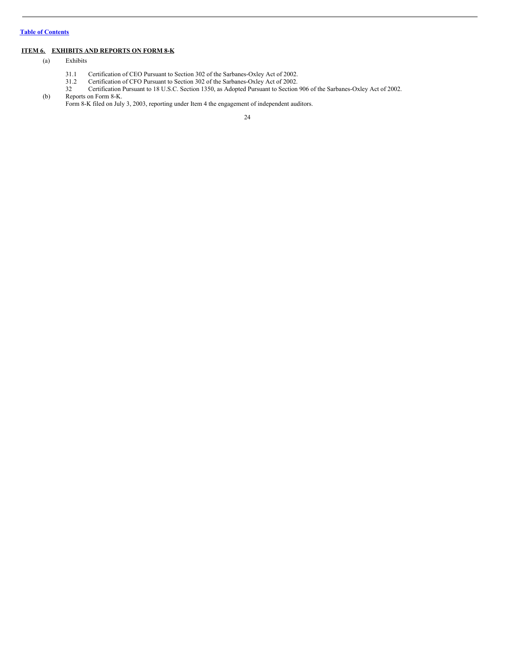## <span id="page-23-0"></span>**ITEM 6. EXHIBITS AND REPORTS ON FORM 8-K**

- (a) Exhibits
	- 31.1 Certification of CEO Pursuant to Section 302 of the Sarbanes-Oxley Act of 2002.
	- 31.2 Certification of CFO Pursuant to Section 302 of the Sarbanes-Oxley Act of 2002.
- 32 Certification Pursuant to 18 U.S.C. Section 1350, as Adopted Pursuant to Section 906 of the Sarbanes-Oxley Act of 2002. (b) Reports on Form 8-K.

Form 8-K filed on July 3, 2003, reporting under Item 4 the engagement of independent auditors.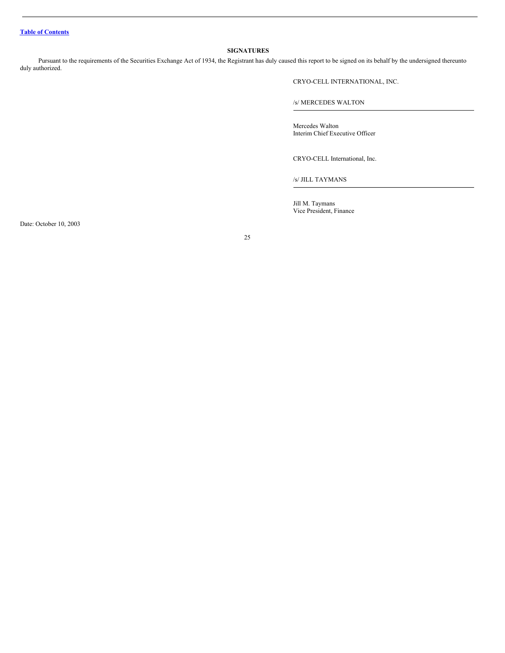## <span id="page-24-0"></span>**SIGNATURES**

Pursuant to the requirements of the Securities Exchange Act of 1934, the Registrant has duly caused this report to be signed on its behalf by the undersigned thereunto duly authorized.

CRYO-CELL INTERNATIONAL, INC.

/s/ MERCEDES WALTON

Mercedes Walton Interim Chief Executive Officer

CRYO-CELL International, Inc.

/s/ JILL TAYMANS

Jill M. Taymans Vice President, Finance

Date: October 10, 2003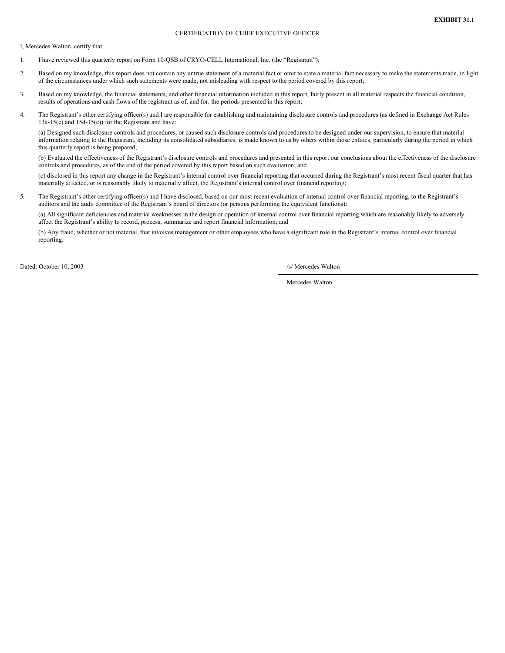#### CERTIFICATION OF CHIEF EXECUTIVE OFFICER

I, Mercedes Walton, certify that:

- 1. I have reviewed this quarterly report on Form 10-QSB of CRYO-CELL International, Inc. (the "Registrant");
- 2. Based on my knowledge, this report does not contain any untrue statement of a material fact or omit to state a material fact necessary to make the statements made, in light of the circumstances under which such statements were made, not misleading with respect to the period covered by this report;
- 3. Based on my knowledge, the financial statements, and other financial information included in this report, fairly present in all material respects the financial condition, results of operations and cash flows of the registrant as of, and for, the periods presented in this report;
- 4. The Registrant's other certifying officer(s) and I are responsible for establishing and maintaining disclosure controls and procedures (as defined in Exchange Act Rules 13a-15(e) and 15d-15(e)) for the Registrant and have:

(a) Designed such disclosure controls and procedures, or caused such disclosure controls and procedures to be designed under our supervision, to ensure that material information relating to the Registrant, including its consolidated subsidiaries, is made known to us by others within those entities, particularly during the period in which this quarterly report is being prepared;

(b) Evaluated the effectiveness of the Registrant's disclosure controls and procedures and presented in this report our conclusions about the effectiveness of the disclosure controls and procedures, as of the end of the period covered by this report based on such evaluation; and

(c) disclosed in this report any change in the Registrant's internal control over financial reporting that occurred during the Registrant's most recent fiscal quarter that has materially affected, or is reasonably likely to materially affect, the Registrant's internal control over financial reporting;

5. The Registrant's other certifying officer(s) and I have disclosed, based on our most recent evaluation of internal control over financial reporting, to the Registrant's auditors and the audit committee of the Registrant's board of directors (or persons performing the equivalent functions):

(a) All significant deficiencies and material weaknesses in the design or operation of internal control over financial reporting which are reasonably likely to adversely affect the Registrant's ability to record, process, summarize and report financial information; and

(b) Any fraud, whether or not material, that involves management or other employees who have a significant role in the Registrant's internal control over financial reporting.

Dated: October 10, 2003 /s/ Mercedes Walton

Mercedes Walton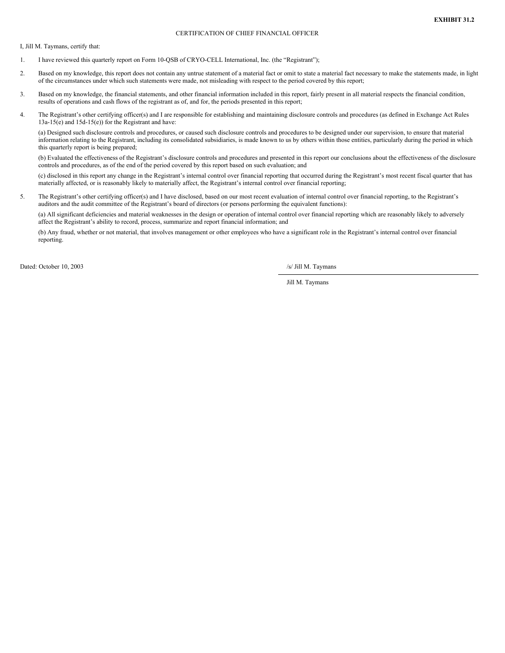#### CERTIFICATION OF CHIEF FINANCIAL OFFICER

I, Jill M. Taymans, certify that:

- 1. I have reviewed this quarterly report on Form 10-QSB of CRYO-CELL International, Inc. (the "Registrant");
- 2. Based on my knowledge, this report does not contain any untrue statement of a material fact or omit to state a material fact necessary to make the statements made, in light of the circumstances under which such statements were made, not misleading with respect to the period covered by this report;
- 3. Based on my knowledge, the financial statements, and other financial information included in this report, fairly present in all material respects the financial condition, results of operations and cash flows of the registrant as of, and for, the periods presented in this report;
- 4. The Registrant's other certifying officer(s) and I are responsible for establishing and maintaining disclosure controls and procedures (as defined in Exchange Act Rules 13a-15(e) and 15d-15(e)) for the Registrant and have:

(a) Designed such disclosure controls and procedures, or caused such disclosure controls and procedures to be designed under our supervision, to ensure that material information relating to the Registrant, including its consolidated subsidiaries, is made known to us by others within those entities, particularly during the period in which this quarterly report is being prepared;

(b) Evaluated the effectiveness of the Registrant's disclosure controls and procedures and presented in this report our conclusions about the effectiveness of the disclosure controls and procedures, as of the end of the period covered by this report based on such evaluation; and

(c) disclosed in this report any change in the Registrant's internal control over financial reporting that occurred during the Registrant's most recent fiscal quarter that has materially affected, or is reasonably likely to materially affect, the Registrant's internal control over financial reporting;

5. The Registrant's other certifying officer(s) and I have disclosed, based on our most recent evaluation of internal control over financial reporting, to the Registrant's auditors and the audit committee of the Registrant's board of directors (or persons performing the equivalent functions):

(a) All significant deficiencies and material weaknesses in the design or operation of internal control over financial reporting which are reasonably likely to adversely affect the Registrant's ability to record, process, summarize and report financial information; and

(b) Any fraud, whether or not material, that involves management or other employees who have a significant role in the Registrant's internal control over financial reporting.

Dated: October 10, 2003 /s/ Jill M. Taymans

Jill M. Taymans